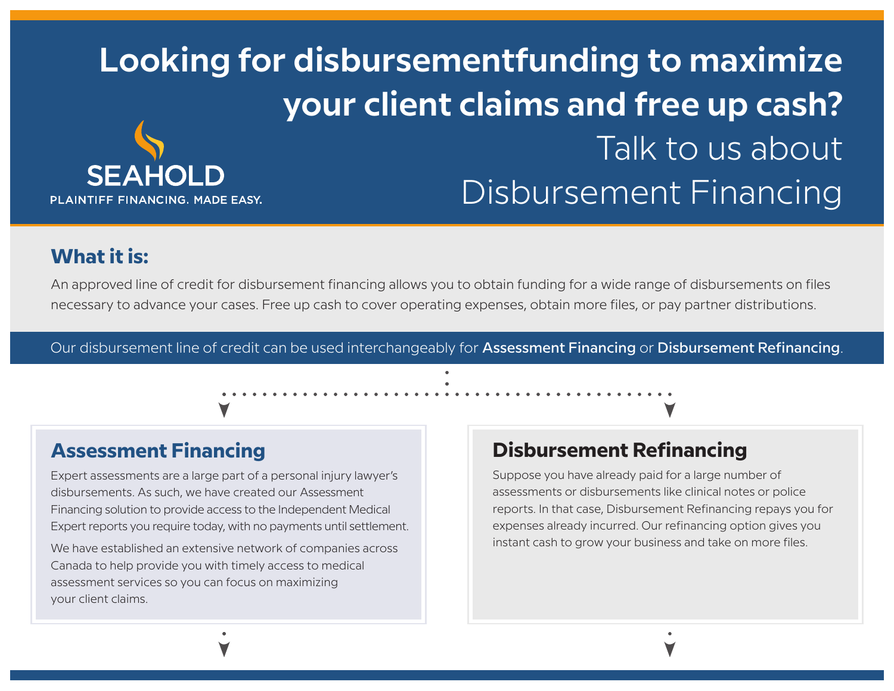# **Looking for disbursementfunding to maximize your client claims and free up cash?** Talk to us about **SEAHOLD** Disbursement FinancingPLAINTIFF FINANCING. MADE EASY.

# **What it is:**

An approved line of credit for disbursement financing allows you to obtain funding for a wide range of disbursements on files necessary to advance your cases. Free up cash to cover operating expenses, obtain more files, or pay partner distributions.

Our disbursement line of credit can be used interchangeably for Assessment Financing or Disbursement Refinancing.



Expert assessments are a large part of a personal injury lawyer's disbursements. As such, we have created our Assessment Financing solution to provide access to the Independent Medical Expert reports you require today, with no payments until settlement.

We have established an extensive network of companies across Canada to help provide you with timely access to medical assessment services so you can focus on maximizing your client claims.

## **Disbursement Refinancing**

Suppose you have already paid for a large number of assessments or disbursements like clinical notes or police reports. In that case, Disbursement Refinancing repays you for expenses already incurred. Our refinancing option gives you instant cash to grow your business and take on more files.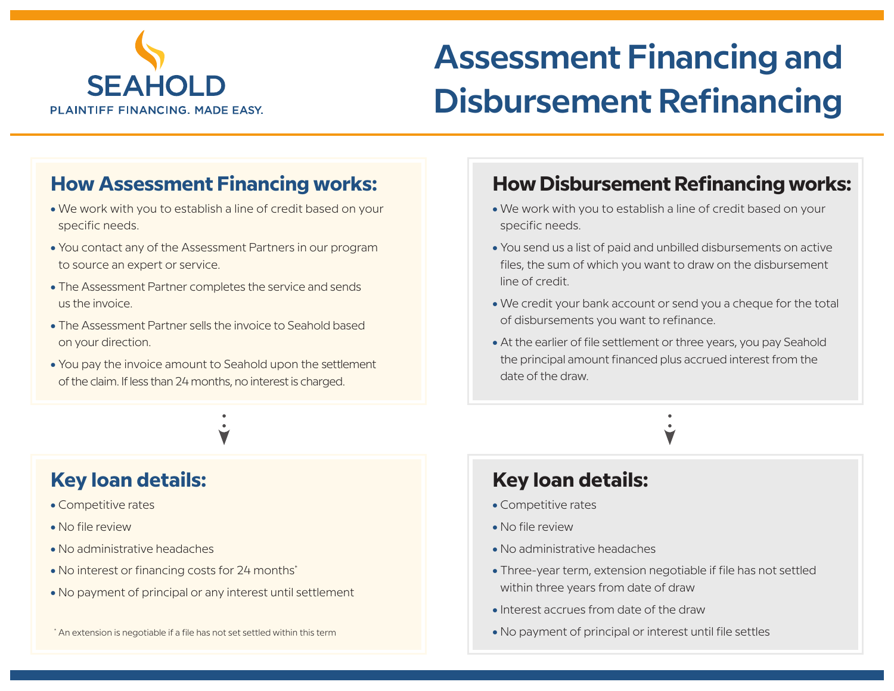

# **Assessment Financing and Disbursement Refinancing**

# **How Assessment Financing works:**

- We work with you to establish a line of credit based on your specific needs.
- You contact any of the Assessment Partners in our program to source an expert or service.
- The Assessment Partner completes the service and sends us the invoice.
- The Assessment Partner sells the invoice to Seahold based on your direction.
- You pay the invoice amount to Seahold upon the settlement of the claim. If less than 24 months, no interest is charged.



# **Key loan details:**

- Competitive rates
- No file review
- No administrative headaches
- No interest or financing costs for 24 months<sup>\*</sup>
- No payment of principal or any interest until settlement

#### \* An extension is negotiable if a file has not set settled within this term

# **How Disbursement Refinancing works:**

- We work with you to establish a line of credit based on your specific needs.
- You send us a list of paid and unbilled disbursements on active files, the sum of which you want to draw on the disbursement line of credit.
- We credit your bank account or send you a cheque for the total of disbursements you want to refinance.
- At the earlier of file settlement or three years, you pay Seahold the principal amount financed plus accrued interest from the date of the draw.

## **Key loan details:**

- Competitive rates
- No file review
- No administrative headaches
- Three-year term, extension negotiable if file has not settled within three years from date of draw
- Interest accrues from date of the draw
- No payment of principal or interest until file settles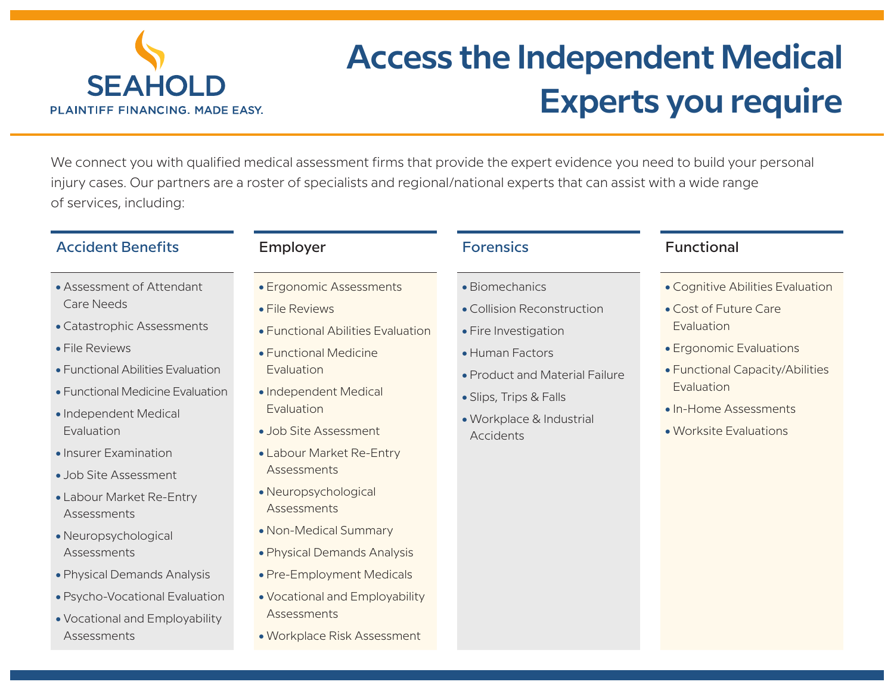

# **Access the Independent Medical Experts you require**

We connect you with qualified medical assessment firms that provide the expert evidence you need to build your personal injury cases. Our partners are a roster of specialists and regional/national experts that can assist with a wide range of services, including:

### Accident Benefits **Employer** Employer Forensics Functional

- Assessment of Attendant Care Needs
- Catastrophic Assessments
- File Reviews
- Functional Abilities Evaluation
- Functional Medicine Evaluation
- Independent Medical Evaluation
- Insurer Examination
- Job Site Assessment
- Labour Market Re-Entry Assessments
- Neuropsychological Assessments
- Physical Demands Analysis
- Psycho-Vocational Evaluation
- Vocational and Employability Assessments

#### • Ergonomic Assessments

- File Reviews
- Functional Abilities Evaluation
- Functional Medicine **Evaluation**
- Independent Medical Evaluation
- Job Site Assessment
- Labour Market Re-Entry **Assessments**
- Neuropsychological **Assessments**
- Non-Medical Summary
- Physical Demands Analysis
- Pre-Employment Medicals
- Vocational and Employability **Assessments**
- Workplace Risk Assessment

- Biomechanics
- Collision Reconstruction
- Fire Investigation
- Human Factors
- Product and Material Failure
- Slips, Trips & Falls
- Workplace & Industrial Accidents

- Cognitive Abilities Evaluation
- Cost of Future Care Evaluation
- Ergonomic Evaluations
- Functional Capacity/Abilities Evaluation
- In-Home Assessments
- Worksite Evaluations